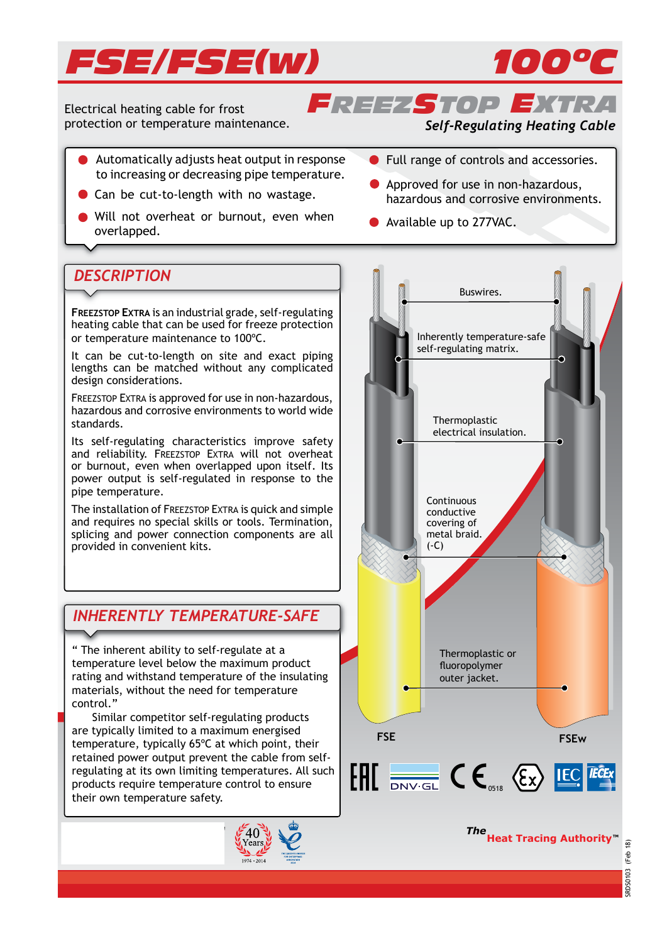



*FREEZSTOP EXTRA* Electrical heating cable for frost protection or temperature maintenance.

### *Self-Regulating Heating Cable*

- Automatically adjusts heat output in response to increasing or decreasing pipe temperature.
- Can be cut-to-length with no wastage.
- Will not overheat or burnout, even when will not overfleat or burnout, even when **C** Available up to 277VAC.
- **Full range of controls and accessories.**
- Approved for use in non-hazardous, hazardous and corrosive environments.
	-

## *DESCRIPTION*

**FREEZSTOP EXTRA** is an industrial grade, self-regulating heating cable that can be used for freeze protection or temperature maintenance to 100ºC.

It can be cut-to-length on site and exact piping lengths can be matched without any complicated design considerations.

FREEZSTOP EXTRA is approved for use in non-hazardous, hazardous and corrosive environments to world wide standards.

Its self-regulating characteristics improve safety and reliability. FREEZSTOP EXTRA will not overheat or burnout, even when overlapped upon itself. Its power output is self-regulated in response to the pipe temperature.

The installation of FREEZSTOP EXTRA is quick and simple and requires no special skills or tools. Termination, splicing and power connection components are all provided in convenient kits.

## *INHERENTLY TEMPERATURE-SAFE*

" The inherent ability to self-regulate at a temperature level below the maximum product rating and withstand temperature of the insulating materials, without the need for temperature control."

 Similar competitor self-regulating products are typically limited to a maximum energised temperature, typically 65ºC at which point, their retained power output prevent the cable from selfregulating at its own limiting temperatures. All such products require temperature control to ensure their own temperature safety.